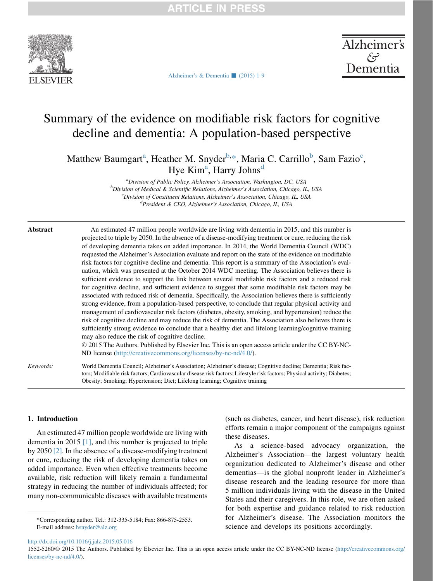

Alzheimer's Dementia

[Alzheimer's & Dementia](http://dx.doi.org/10.1016/j.jalz.2015.05.016)  $\Box$  (2015) 1-9

# Summary of the evidence on modifiable risk factors for cognitive decline and dementia: A population-based perspective

Matthew Baumgart<sup>a</sup>, Heather M. Snyder<sup>b,\*</sup>, Maria C. Carrillo<sup>b</sup>, Sam Fazio<sup>c</sup>, Hye Kim<sup>a</sup>, Harry Johns<sup>d</sup>

> <sup>a</sup>Division of Public Policy, Alzheimer's Association, Washington, DC, USA <sup>b</sup>Division of Medical & Scientific Relations, Alzheimer's Association, Chicago, IL, USA <sup>c</sup>Division of Constituent Relations, Alzheimer's Association, Chicago, IL, USA <sup>d</sup> President & CEO, Alzheimer's Association, Chicago, IL, USA

Abstract An estimated 47 million people worldwide are living with dementia in 2015, and this number is projected to triple by 2050. In the absence of a disease-modifying treatment or cure, reducing the risk of developing dementia takes on added importance. In 2014, the World Dementia Council (WDC) requested the Alzheimer's Association evaluate and report on the state of the evidence on modifiable risk factors for cognitive decline and dementia. This report is a summary of the Association's evaluation, which was presented at the October 2014 WDC meeting. The Association believes there is sufficient evidence to support the link between several modifiable risk factors and a reduced risk for cognitive decline, and sufficient evidence to suggest that some modifiable risk factors may be associated with reduced risk of dementia. Specifically, the Association believes there is sufficiently strong evidence, from a population-based perspective, to conclude that regular physical activity and management of cardiovascular risk factors (diabetes, obesity, smoking, and hypertension) reduce the risk of cognitive decline and may reduce the risk of dementia. The Association also believes there is sufficiently strong evidence to conclude that a healthy diet and lifelong learning/cognitive training may also reduce the risk of cognitive decline.

! 2015 The Authors. Published by Elsevier Inc. This is an open access article under the CC BY-NC-ND license (http://creativecommons.org/licenses/by-nc-nd/4.0/).

Keywords: World Dementia Council; Alzheimer's Association; Alzheimer's disease; Cognitive decline; Dementia; Risk factors; Modifiable risk factors; Cardiovascular disease risk factors; Lifestyle risk factors; Physical activity; Diabetes; Obesity; Smoking; Hypertension; Diet; Lifelong learning; Cognitive training

#### 1. Introduction

An estimated 47 million people worldwide are living with dementia in 2015 [\[1\],](#page-5-0) and this number is projected to triple by 2050 [\[2\].](#page-5-0) In the absence of a disease-modifying treatment or cure, reducing the risk of developing dementia takes on added importance. Even when effective treatments become available, risk reduction will likely remain a fundamental strategy in reducing the number of individuals affected; for many non-communicable diseases with available treatments (such as diabetes, cancer, and heart disease), risk reduction efforts remain a major component of the campaigns against these diseases.

As a science-based advocacy organization, the Alzheimer's Association—the largest voluntary health organization dedicated to Alzheimer's disease and other dementias—is the global nonprofit leader in Alzheimer's disease research and the leading resource for more than 5 million individuals living with the disease in the United States and their caregivers. In this role, we are often asked for both expertise and guidance related to risk reduction for Alzheimer's disease. The Association monitors the science and develops its positions accordingly.

<http://dx.doi.org/10.1016/j.jalz.2015.05.016>

1552-5260/© 2015 The Authors. Published by Elsevier Inc. This is an open access article under the CC BY-NC-ND license (http://creativecommons.org/ licenses/by-nc-nd/4.0/).

<sup>\*</sup>Corresponding author. Tel.: 312-335-5184; Fax: 866-875-2553. E-mail address: [hsnyder@alz.org](mailto:hsnyder@alz.org)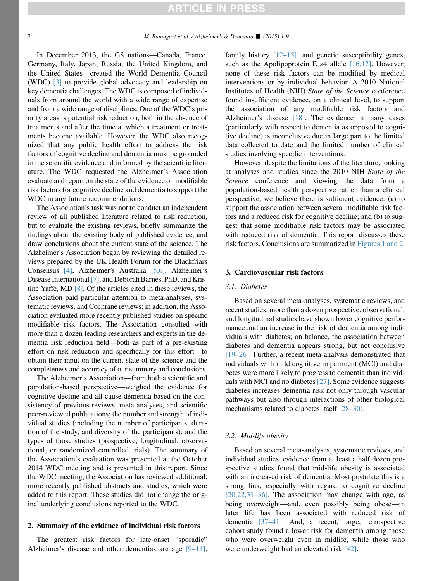In December 2013, the G8 nations—Canada, France, Germany, Italy, Japan, Russia, the United Kingdom, and the United States—created the World Dementia Council (WDC) [\[3\]](#page-5-0) to provide global advocacy and leadership on key dementia challenges. The WDC is composed of individuals from around the world with a wide range of expertise and from a wide range of disciplines. One of the WDC's priority areas is potential risk reduction, both in the absence of treatments and after the time at which a treatment or treatments become available. However, the WDC also recognized that any public health effort to address the risk factors of cognitive decline and dementia must be grounded in the scientific evidence and informed by the scientific literature. The WDC requested the Alzheimer's Association evaluate and report on the state of the evidence on modifiable risk factors for cognitive decline and dementia to support the WDC in any future recommendations.

The Association's task was not to conduct an independent review of all published literature related to risk reduction, but to evaluate the existing reviews, briefly summarize the findings about the existing body of published evidence, and draw conclusions about the current state of the science. The Alzheimer's Association began by reviewing the detailed reviews prepared by the UK Health Forum for the Blackfriars Consensus [\[4\]](#page-5-0), Alzheimer's Australia [\[5,6\]](#page-5-0), Alzheimer's Disease International[\[7\]](#page-5-0), and Deborah Barnes, PhD, and Kristine Yaffe, MD [\[8\]](#page-5-0). Of the articles cited in these reviews, the Association paid particular attention to meta-analyses, systematic reviews, and Cochrane reviews; in addition, the Association evaluated more recently published studies on specific modifiable risk factors. The Association consulted with more than a dozen leading researchers and experts in the dementia risk reduction field—both as part of a pre-existing effort on risk reduction and specifically for this effort—to obtain their input on the current state of the science and the completeness and accuracy of our summary and conclusions.

The Alzheimer's Association—from both a scientific and population-based perspective—weighed the evidence for cognitive decline and all-cause dementia based on the consistency of previous reviews, meta-analyses, and scientific peer-reviewed publications; the number and strength of individual studies (including the number of participants, duration of the study, and diversity of the participants); and the types of those studies (prospective, longitudinal, observational, or randomized controlled trials). The summary of the Association's evaluation was presented at the October 2014 WDC meeting and is presented in this report. Since the WDC meeting, the Association has reviewed additional, more recently published abstracts and studies, which were added to this report. These studies did not change the original underlying conclusions reported to the WDC.

#### 2. Summary of the evidence of individual risk factors

The greatest risk factors for late-onset "sporadic" Alzheimer's disease and other dementias are age [\[9–11\],](#page-5-0) family history [\[12–15\]](#page-5-0), and genetic susceptibility genes, such as the Apolipoprotein E  $\varepsilon$ 4 allele [\[16,17\]](#page-5-0). However, none of these risk factors can be modified by medical interventions or by individual behavior. A 2010 National Institutes of Health (NIH) State of the Science conference found insufficient evidence, on a clinical level, to support the association of any modifiable risk factors and Alzheimer's disease [\[18\].](#page-5-0) The evidence in many cases (particularly with respect to dementia as opposed to cognitive decline) is inconclusive due in large part to the limited data collected to date and the limited number of clinical studies involving specific interventions.

However, despite the limitations of the literature, looking at analyses and studies since the 2010 NIH State of the Science conference and viewing the data from a population-based health perspective rather than a clinical perspective, we believe there is sufficient evidence: (a) to support the association between several modifiable risk factors and a reduced risk for cognitive decline; and (b) to suggest that some modifiable risk factors may be associated with reduced risk of dementia. This report discusses these risk factors. Conclusions are summarized in [Figures 1 and 2.](#page-2-0)

#### 3. Cardiovascular risk factors

#### 3.1. Diabetes

Based on several meta-analyses, systematic reviews, and recent studies, more than a dozen prospective, observational, and longitudinal studies have shown lower cognitive performance and an increase in the risk of dementia among individuals with diabetes; on balance, the association between diabetes and dementia appears strong, but not conclusive [\[19–26\].](#page-5-0) Further, a recent meta-analysis demonstrated that individuals with mild cognitive impairment (MCI) and diabetes were more likely to progress to dementia than individuals with MCI and no diabetes [\[27\].](#page-5-0) Some evidence suggests diabetes increases dementia risk not only through vascular pathways but also through interactions of other biological mechanisms related to diabetes itself [\[28–30\]](#page-5-0).

#### 3.2. Mid-life obesity

Based on several meta-analyses, systematic reviews, and individual studies, evidence from at least a half dozen prospective studies found that mid-life obesity is associated with an increased risk of dementia. Most postulate this is a strong link, especially with regard to cognitive decline [\[20,22,31–36\].](#page-5-0) The association may change with age, as being overweight—and, even possibly being obese—in later life has been associated with reduced risk of dementia [\[37–41\].](#page-6-0) And, a recent, large, retrospective cohort study found a lower risk for dementia among those who were overweight even in midlife, while those who were underweight had an elevated risk [\[42\].](#page-6-0)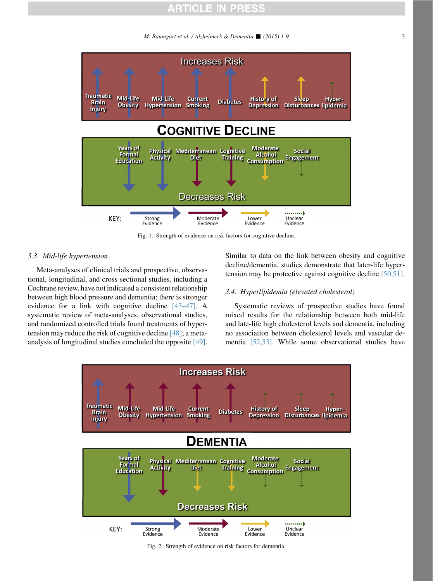M. Baumgart et al. / Alzheimer's & Dementia  $\blacksquare$  (2015) 1-9 3

<span id="page-2-0"></span>

Fig. 1. Strength of evidence on risk factors for cognitive decline.

#### 3.3. Mid-life hypertension

Meta-analyses of clinical trials and prospective, observational, longitudinal, and cross-sectional studies, including a Cochrane review, have not indicated a consistent relationship between high blood pressure and dementia; there is stronger evidence for a link with cognitive decline [\[43–47\].](#page-6-0) A systematic review of meta-analyses, observational studies, and randomized controlled trials found treatments of hypertension may reduce the risk of cognitive decline [\[48\]](#page-6-0); a metaanalysis of longitudinal studies concluded the opposite [\[49\].](#page-6-0) Similar to data on the link between obesity and cognitive decline/dementia, studies demonstrate that later-life hypertension may be protective against cognitive decline [\[50,51\]](#page-6-0).

#### 3.4. Hyperlipidemia (elevated cholesterol)

Systematic reviews of prospective studies have found mixed results for the relationship between both mid-life and late-life high cholesterol levels and dementia, including no association between cholesterol levels and vascular dementia [\[52,53\]](#page-6-0). While some observational studies have



Fig. 2. Strength of evidence on risk factors for dementia.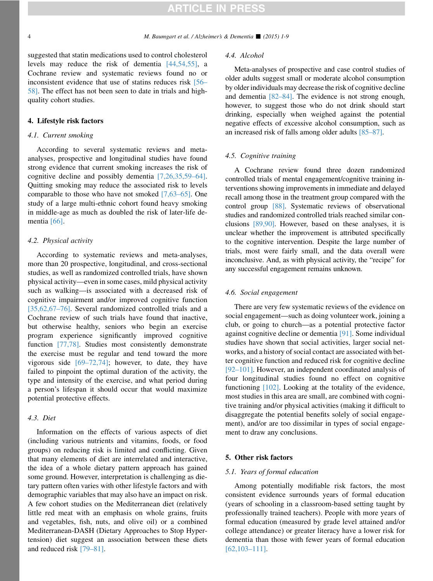suggested that statin medications used to control cholesterol levels may reduce the risk of dementia [\[44,54,55\],](#page-6-0) a Cochrane review and systematic reviews found no or inconsistent evidence that use of statins reduces risk [\[56–](#page-6-0) [58\]](#page-6-0). The effect has not been seen to date in trials and highquality cohort studies.

#### 4. Lifestyle risk factors

#### 4.1. Current smoking

According to several systematic reviews and metaanalyses, prospective and longitudinal studies have found strong evidence that current smoking increases the risk of cognitive decline and possibly dementia [\[7,26,35,59–64\].](#page-5-0) Quitting smoking may reduce the associated risk to levels comparable to those who have not smoked [\[7,63–65\].](#page-5-0) One study of a large multi-ethnic cohort found heavy smoking in middle-age as much as doubled the risk of later-life dementia [\[66\].](#page-6-0)

#### 4.2. Physical activity

According to systematic reviews and meta-analyses, more than 20 prospective, longitudinal, and cross-sectional studies, as well as randomized controlled trials, have shown physical activity—even in some cases, mild physical activity such as walking—is associated with a decreased risk of cognitive impairment and/or improved cognitive function [\[35,62,67–76\]](#page-6-0). Several randomized controlled trials and a Cochrane review of such trials have found that inactive, but otherwise healthy, seniors who begin an exercise program experience significantly improved cognitive function [\[77,78\]](#page-7-0). Studies most consistently demonstrate the exercise must be regular and tend toward the more vigorous side [\[69–72,74\]](#page-6-0); however, to date, they have failed to pinpoint the optimal duration of the activity, the type and intensity of the exercise, and what period during a person's lifespan it should occur that would maximize potential protective effects.

#### 4.3. Diet

Information on the effects of various aspects of diet (including various nutrients and vitamins, foods, or food groups) on reducing risk is limited and conflicting. Given that many elements of diet are interrelated and interactive, the idea of a whole dietary pattern approach has gained some ground. However, interpretation is challenging as dietary pattern often varies with other lifestyle factors and with demographic variables that may also have an impact on risk. A few cohort studies on the Mediterranean diet (relatively little red meat with an emphasis on whole grains, fruits and vegetables, fish, nuts, and olive oil) or a combined Mediterranean-DASH (Dietary Approaches to Stop Hypertension) diet suggest an association between these diets and reduced risk [\[79–81\]](#page-7-0).

#### 4.4. Alcohol

Meta-analyses of prospective and case control studies of older adults suggest small or moderate alcohol consumption by older individuals may decrease the risk of cognitive decline and dementia [\[82–84\].](#page-7-0) The evidence is not strong enough, however, to suggest those who do not drink should start drinking, especially when weighed against the potential negative effects of excessive alcohol consumption, such as an increased risk of falls among older adults [\[85–87\].](#page-7-0)

#### 4.5. Cognitive training

A Cochrane review found three dozen randomized controlled trials of mental engagement/cognitive training interventions showing improvements in immediate and delayed recall among those in the treatment group compared with the control group [\[88\].](#page-7-0) Systematic reviews of observational studies and randomized controlled trials reached similar conclusions [\[89,90\]](#page-7-0). However, based on these analyses, it is unclear whether the improvement is attributed specifically to the cognitive intervention. Despite the large number of trials, most were fairly small, and the data overall were inconclusive. And, as with physical activity, the "recipe" for any successful engagement remains unknown.

#### 4.6. Social engagement

There are very few systematic reviews of the evidence on social engagement—such as doing volunteer work, joining a club, or going to church—as a potential protective factor against cognitive decline or dementia [\[91\]](#page-7-0). Some individual studies have shown that social activities, larger social networks, and a history of social contact are associated with better cognitive function and reduced risk for cognitive decline [\[92–101\].](#page-7-0) However, an independent coordinated analysis of four longitudinal studies found no effect on cognitive functioning [\[102\]](#page-7-0). Looking at the totality of the evidence, most studies in this area are small, are combined with cognitive training and/or physical activities (making it difficult to disaggregate the potential benefits solely of social engagement), and/or are too dissimilar in types of social engagement to draw any conclusions.

#### 5. Other risk factors

#### 5.1. Years of formal education

Among potentially modifiable risk factors, the most consistent evidence surrounds years of formal education (years of schooling in a classroom-based setting taught by professionally trained teachers). People with more years of formal education (measured by grade level attained and/or college attendance) or greater literacy have a lower risk for dementia than those with fewer years of formal education [\[62,103–111\]](#page-6-0).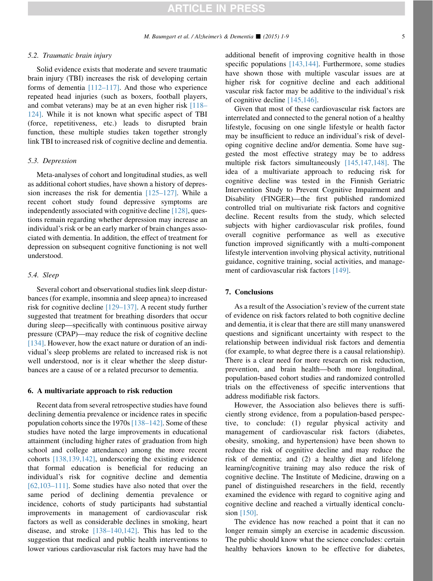#### 5.2. Traumatic brain injury

Solid evidence exists that moderate and severe traumatic brain injury (TBI) increases the risk of developing certain forms of dementia [\[112–117\].](#page-7-0) And those who experience repeated head injuries (such as boxers, football players, and combat veterans) may be at an even higher risk [\[118–](#page-8-0) [124\]](#page-8-0). While it is not known what specific aspect of TBI (force, repetitiveness, etc.) leads to disrupted brain function, these multiple studies taken together strongly link TBI to increased risk of cognitive decline and dementia.

#### 5.3. Depression

Meta-analyses of cohort and longitudinal studies, as well as additional cohort studies, have shown a history of depression increases the risk for dementia [\[125–127\]](#page-8-0). While a recent cohort study found depressive symptoms are independently associated with cognitive decline [\[128\]](#page-8-0), questions remain regarding whether depression may increase an individual's risk or be an early marker of brain changes associated with dementia. In addition, the effect of treatment for depression on subsequent cognitive functioning is not well understood.

#### 5.4. Sleep

Several cohort and observational studies link sleep disturbances (for example, insomnia and sleep apnea) to increased risk for cognitive decline [\[129–137\]](#page-8-0). A recent study further suggested that treatment for breathing disorders that occur during sleep—specifically with continuous positive airway pressure (CPAP)—may reduce the risk of cognitive decline [\[134\].](#page-8-0) However, how the exact nature or duration of an individual's sleep problems are related to increased risk is not well understood, nor is it clear whether the sleep disturbances are a cause of or a related precursor to dementia.

#### 6. A multivariate approach to risk reduction

Recent data from several retrospective studies have found declining dementia prevalence or incidence rates in specific population cohorts since the 1970s[\[138–142\]](#page-8-0). Some of these studies have noted the large improvements in educational attainment (including higher rates of graduation from high school and college attendance) among the more recent cohorts [\[138,139,142\],](#page-8-0) underscoring the existing evidence that formal education is beneficial for reducing an individual's risk for cognitive decline and dementia [\[62,103–111\].](#page-6-0) Some studies have also noted that over the same period of declining dementia prevalence or incidence, cohorts of study participants had substantial improvements in management of cardiovascular risk factors as well as considerable declines in smoking, heart disease, and stroke [\[138–140,142\].](#page-8-0) This has led to the suggestion that medical and public health interventions to lower various cardiovascular risk factors may have had the

additional benefit of improving cognitive health in those specific populations [\[143,144\].](#page-8-0) Furthermore, some studies have shown those with multiple vascular issues are at higher risk for cognitive decline and each additional vascular risk factor may be additive to the individual's risk of cognitive decline [\[145,146\].](#page-8-0)

Given that most of these cardiovascular risk factors are interrelated and connected to the general notion of a healthy lifestyle, focusing on one single lifestyle or health factor may be insufficient to reduce an individual's risk of developing cognitive decline and/or dementia. Some have suggested the most effective strategy may be to address multiple risk factors simultaneously [\[145,147,148\]](#page-8-0). The idea of a multivariate approach to reducing risk for cognitive decline was tested in the Finnish Geriatric Intervention Study to Prevent Cognitive Impairment and Disability (FINGER)—the first published randomized controlled trial on multivariate risk factors and cognitive decline. Recent results from the study, which selected subjects with higher cardiovascular risk profiles, found overall cognitive performance as well as executive function improved significantly with a multi-component lifestyle intervention involving physical activity, nutritional guidance, cognitive training, social activities, and management of cardiovascular risk factors [\[149\]](#page-8-0).

### 7. Conclusions

As a result of the Association's review of the current state of evidence on risk factors related to both cognitive decline and dementia, it is clear that there are still many unanswered questions and significant uncertainty with respect to the relationship between individual risk factors and dementia (for example, to what degree there is a causal relationship). There is a clear need for more research on risk reduction, prevention, and brain health—both more longitudinal, population-based cohort studies and randomized controlled trials on the effectiveness of specific interventions that address modifiable risk factors.

However, the Association also believes there is sufficiently strong evidence, from a population-based perspective, to conclude: (1) regular physical activity and management of cardiovascular risk factors (diabetes, obesity, smoking, and hypertension) have been shown to reduce the risk of cognitive decline and may reduce the risk of dementia; and (2) a healthy diet and lifelong learning/cognitive training may also reduce the risk of cognitive decline. The Institute of Medicine, drawing on a panel of distinguished researchers in the field, recently examined the evidence with regard to cognitive aging and cognitive decline and reached a virtually identical conclu-sion [\[150\]](#page-8-0).

The evidence has now reached a point that it can no longer remain simply an exercise in academic discussion. The public should know what the science concludes: certain healthy behaviors known to be effective for diabetes,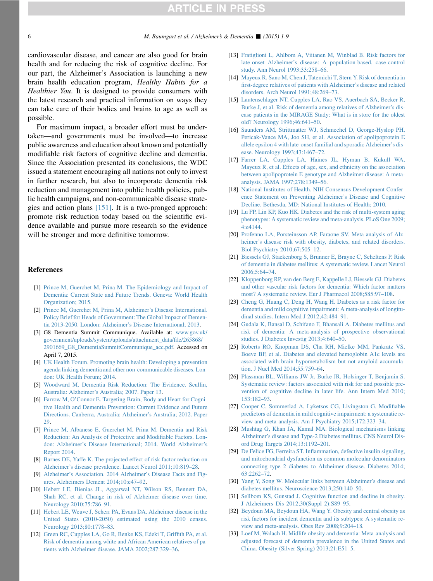<span id="page-5-0"></span>cardiovascular disease, and cancer are also good for brain health and for reducing the risk of cognitive decline. For our part, the Alzheimer's Association is launching a new brain health education program, Healthy Habits for a Healthier You. It is designed to provide consumers with the latest research and practical information on ways they can take care of their bodies and brains to age as well as possible.

For maximum impact, a broader effort must be undertaken—and governments must be involved—to increase public awareness and education about known and potentially modifiable risk factors of cognitive decline and dementia. Since the Association presented its conclusions, the WDC issued a statement encouraging all nations not only to invest in further research, but also to incorporate dementia risk reduction and management into public health policies, public health campaigns, and non-communicable disease strategies and action plans [\[151\].](#page-8-0) It is a two-pronged approach: promote risk reduction today based on the scientific evidence available and pursue more research so the evidence will be stronger and more definitive tomorrow.

#### **References**

- [1] [Prince M, Guerchet M, Prina M. The Epidemiology and Impact of](http://refhub.elsevier.com/S1552-5260(15)00197-1/sref1) [Dementia: Current State and Future Trends. Geneva: World Health](http://refhub.elsevier.com/S1552-5260(15)00197-1/sref1) [Organization; 2015](http://refhub.elsevier.com/S1552-5260(15)00197-1/sref1).
- [2] [Prince M, Guerchet M, Prina M, Alzheimer's Disease International.](http://refhub.elsevier.com/S1552-5260(15)00197-1/sref2) [Policy Brief for Heads of Government: The Global Impact of Demen](http://refhub.elsevier.com/S1552-5260(15)00197-1/sref2)[tia 2013-2050. London: Alzheimer's Disease International; 2013.](http://refhub.elsevier.com/S1552-5260(15)00197-1/sref2)
- [3] G8 Dementia Summit Communique. Available at: [www.gov.uk/](http://www.gov.uk/government/uploads/system/uploads/attachment_data/file/265868/2901669_G8_DementiaSummitCommunique_acc.pdf) [government/uploads/system/uploads/attachment\\_data/file/265868/](http://www.gov.uk/government/uploads/system/uploads/attachment_data/file/265868/2901669_G8_DementiaSummitCommunique_acc.pdf) [2901669\\_G8\\_DementiaSummitCommunique\\_acc.pdf](http://www.gov.uk/government/uploads/system/uploads/attachment_data/file/265868/2901669_G8_DementiaSummitCommunique_acc.pdf). Accessed on April 7, 2015.
- [4] [UK Health Forum. Promoting brain health: Developing a prevention](http://refhub.elsevier.com/S1552-5260(15)00197-1/sref3) [agenda linking dementia and other non-communicable diseases. Lon](http://refhub.elsevier.com/S1552-5260(15)00197-1/sref3)[don: UK Health Forum; 2014](http://refhub.elsevier.com/S1552-5260(15)00197-1/sref3).
- [5] [Woodward M. Dementia Risk Reduction: The Evidence. Scullin,](http://refhub.elsevier.com/S1552-5260(15)00197-1/sref4) [Australia: Alzheimer's Australia; 2007. Paper 13](http://refhub.elsevier.com/S1552-5260(15)00197-1/sref4).
- [6] [Farrow M, O'Connor E. Targeting Brain, Body and Heart for Cogni](http://refhub.elsevier.com/S1552-5260(15)00197-1/sref5)[tive Health and Dementia Prevention: Current Evidence and Future](http://refhub.elsevier.com/S1552-5260(15)00197-1/sref5) [Directions. Canberra, Australia: Alzheimer's Australia; 2012. Paper](http://refhub.elsevier.com/S1552-5260(15)00197-1/sref5) [29](http://refhub.elsevier.com/S1552-5260(15)00197-1/sref5).
- [7] [Prince M, Albanese E, Guerchet M, Prina M. Dementia and Risk](http://refhub.elsevier.com/S1552-5260(15)00197-1/sref6) [Reduction: An Analysis of Protective and Modifiable Factors. Lon](http://refhub.elsevier.com/S1552-5260(15)00197-1/sref6)[don: Alzheimer's Disease International; 2014. World Alzheimer's](http://refhub.elsevier.com/S1552-5260(15)00197-1/sref6) [Report 2014.](http://refhub.elsevier.com/S1552-5260(15)00197-1/sref6)
- [8] [Barnes DE, Yaffe K. The projected effect of risk factor reduction on](http://refhub.elsevier.com/S1552-5260(15)00197-1/sref7) [Alzheimer's disease prevalence. Lancet Neurol 2011;10:819–28.](http://refhub.elsevier.com/S1552-5260(15)00197-1/sref7)
- [9] [Alzheimer's Association. 2014 Alzheimer's Disease Facts and Fig](http://refhub.elsevier.com/S1552-5260(15)00197-1/sref8)[ures. Alzheimers Dement 2014;10:e47–92.](http://refhub.elsevier.com/S1552-5260(15)00197-1/sref8)
- [10] [Hebert LE, Bienias JL, Aggarwal NT, Wilson RS, Bennett DA,](http://refhub.elsevier.com/S1552-5260(15)00197-1/sref9) [Shah RC, et al. Change in risk of Alzheimer disease over time.](http://refhub.elsevier.com/S1552-5260(15)00197-1/sref9) [Neurology 2010;75:786–91.](http://refhub.elsevier.com/S1552-5260(15)00197-1/sref9)
- [11] [Hebert LE, Weuve J, Scherr PA, Evans DA. Alzheimer disease in the](http://refhub.elsevier.com/S1552-5260(15)00197-1/sref10) [United States \(2010-2050\) estimated using the 2010 census.](http://refhub.elsevier.com/S1552-5260(15)00197-1/sref10) [Neurology 2013;80:1778–83.](http://refhub.elsevier.com/S1552-5260(15)00197-1/sref10)
- [12] [Green RC, Cupples LA, Go R, Benke KS, Edeki T, Griffith PA, et al.](http://refhub.elsevier.com/S1552-5260(15)00197-1/sref11) [Risk of dementia among white and African American relatives of pa](http://refhub.elsevier.com/S1552-5260(15)00197-1/sref11)[tients with Alzheimer disease. JAMA 2002;287:329–36.](http://refhub.elsevier.com/S1552-5260(15)00197-1/sref11)
- [13] [Fratiglioni L, Ahlbom A, Viitanen M, Winblad B. Risk factors for](http://refhub.elsevier.com/S1552-5260(15)00197-1/sref12) [late-onset Alzheimer's disease: A population-based, case-control](http://refhub.elsevier.com/S1552-5260(15)00197-1/sref12) [study. Ann Neurol 1993;33:258–66](http://refhub.elsevier.com/S1552-5260(15)00197-1/sref12).
- [14] [Mayeux R, Sano M, Chen J, Tatemichi T, Stern Y. Risk of dementia in](http://refhub.elsevier.com/S1552-5260(15)00197-1/sref13) [first-degree relatives of patients with Alzheimer's disease and related](http://refhub.elsevier.com/S1552-5260(15)00197-1/sref13) [disorders. Arch Neurol 1991;48:269–73](http://refhub.elsevier.com/S1552-5260(15)00197-1/sref13).
- [15] [Lautenschlager NT, Cupples LA, Rao VS, Auerbach SA, Becker R,](http://refhub.elsevier.com/S1552-5260(15)00197-1/sref14) [Burke J, et al. Risk of dementia among relatives of Alzheimer's dis](http://refhub.elsevier.com/S1552-5260(15)00197-1/sref14)[ease patients in the MIRAGE Study: What is in store for the oldest](http://refhub.elsevier.com/S1552-5260(15)00197-1/sref14) [old? Neurology 1996;46:641–50.](http://refhub.elsevier.com/S1552-5260(15)00197-1/sref14)
- [16] [Saunders AM, Strittmatter WJ, Schmechel D, George-Hyslop PH,](http://refhub.elsevier.com/S1552-5260(15)00197-1/sref15) [Pericak-Vance MA, Joo SH, et al. Association of apolipoprotein E](http://refhub.elsevier.com/S1552-5260(15)00197-1/sref15) [allele epsilon 4 with late-onset familial and sporadic Alzheimer's dis](http://refhub.elsevier.com/S1552-5260(15)00197-1/sref15)[ease. Neurology 1993;43:1467–72](http://refhub.elsevier.com/S1552-5260(15)00197-1/sref15).
- [17] [Farrer LA, Cupples LA, Haines JL, Hyman B, Kukull WA,](http://refhub.elsevier.com/S1552-5260(15)00197-1/sref16) [Mayeux R, et al. Effects of age, sex, and ethnicity on the association](http://refhub.elsevier.com/S1552-5260(15)00197-1/sref16) [between apolipoprotein E genotype and Alzheimer disease: A meta](http://refhub.elsevier.com/S1552-5260(15)00197-1/sref16)[analysis. JAMA 1997;278:1349–56](http://refhub.elsevier.com/S1552-5260(15)00197-1/sref16).
- [18] [National Institutes of Health. NIH Consensus Development Confer](http://refhub.elsevier.com/S1552-5260(15)00197-1/sref17)[ence Statement on Preventing Alzheimer's Disease and Cognitive](http://refhub.elsevier.com/S1552-5260(15)00197-1/sref17) [Decline. Bethesda, MD: National Institutes of Health; 2010.](http://refhub.elsevier.com/S1552-5260(15)00197-1/sref17)
- [19] [Lu FP, Lin KP, Kuo HK. Diabetes and the risk of multi-system aging](http://refhub.elsevier.com/S1552-5260(15)00197-1/sref18) [phenotypes: A systematic review and meta-analysis. PLoS One 2009;](http://refhub.elsevier.com/S1552-5260(15)00197-1/sref18) [4:e4144.](http://refhub.elsevier.com/S1552-5260(15)00197-1/sref18)
- [20] [Profenno LA, Porsteinsson AP, Faraone SV. Meta-analysis of Alz](http://refhub.elsevier.com/S1552-5260(15)00197-1/sref19)[heimer's disease risk with obesity, diabetes, and related disorders.](http://refhub.elsevier.com/S1552-5260(15)00197-1/sref19) [Biol Psychiatry 2010;67:505–12](http://refhub.elsevier.com/S1552-5260(15)00197-1/sref19).
- [21] [Biessels GJ, Staekenborg S, Brunner E, Brayne C, Scheltens P. Risk](http://refhub.elsevier.com/S1552-5260(15)00197-1/sref20) [of dementia in diabetes mellitus: A systematic review. Lancet Neurol](http://refhub.elsevier.com/S1552-5260(15)00197-1/sref20)  $2006:5:64–74.$
- [22] [Kloppenborg RP, van den Berg E, Kappelle LJ, Biessels GJ. Diabetes](http://refhub.elsevier.com/S1552-5260(15)00197-1/sref21) [and other vascular risk factors for dementia: Which factor matters](http://refhub.elsevier.com/S1552-5260(15)00197-1/sref21) [most? A systematic review. Eur J Pharmacol 2008;585:97–108.](http://refhub.elsevier.com/S1552-5260(15)00197-1/sref21)
- [23] [Cheng G, Huang C, Deng H, Wang H. Diabetes as a risk factor for](http://refhub.elsevier.com/S1552-5260(15)00197-1/sref22) [dementia and mild cognitive impairment: A meta-analysis of longitu](http://refhub.elsevier.com/S1552-5260(15)00197-1/sref22)[dinal studies. Intern Med J 2012;42:484–91](http://refhub.elsevier.com/S1552-5260(15)00197-1/sref22).
- [24] [Gudala K, Bansal D, Schifano F, Bhansali A. Diabetes mellitus and](http://refhub.elsevier.com/S1552-5260(15)00197-1/sref23) [risk of dementia: A meta-analysis of prospective observational](http://refhub.elsevier.com/S1552-5260(15)00197-1/sref23) [studies. J Diabetes Investig 2013;4:640–50.](http://refhub.elsevier.com/S1552-5260(15)00197-1/sref23)
- [25] [Roberts RO, Knopman DS, Cha RH, Mielke MM, Pankratz VS,](http://refhub.elsevier.com/S1552-5260(15)00197-1/sref24) [Boeve BF, et al. Diabetes and elevated hemoglobin A1c levels are](http://refhub.elsevier.com/S1552-5260(15)00197-1/sref24) [associated with brain hypometabolism but not amyloid accumula](http://refhub.elsevier.com/S1552-5260(15)00197-1/sref24)[tion. J Nucl Med 2014;55:759–64.](http://refhub.elsevier.com/S1552-5260(15)00197-1/sref24)
- [26] [Plassman BL, Williams JW Jr, Burke JR, Holsinger T, Benjamin S.](http://refhub.elsevier.com/S1552-5260(15)00197-1/sref25) [Systematic review: factors associated with risk for and possible pre](http://refhub.elsevier.com/S1552-5260(15)00197-1/sref25)[vention of cognitive decline in later life. Ann Intern Med 2010;](http://refhub.elsevier.com/S1552-5260(15)00197-1/sref25) [153:182–93](http://refhub.elsevier.com/S1552-5260(15)00197-1/sref25).
- [27] [Cooper C, Sommerlad A, Lyketsos CG, Livingston G. Modifiable](http://refhub.elsevier.com/S1552-5260(15)00197-1/sref26) [predictors of dementia in mild cognitive impairment: a systematic re](http://refhub.elsevier.com/S1552-5260(15)00197-1/sref26)[view and meta-analysis. Am J Psychiatry 2015;172:323–34.](http://refhub.elsevier.com/S1552-5260(15)00197-1/sref26)
- [28] [Mushtag G, Khan JA, Kamal MA. Biological mechanisms linking](http://refhub.elsevier.com/S1552-5260(15)00197-1/sref27) [Alzheimer's disease and Type-2 Diabetes mellitus. CNS Neurol Dis](http://refhub.elsevier.com/S1552-5260(15)00197-1/sref27)[ord Drug Targets 2014;13:1192–201](http://refhub.elsevier.com/S1552-5260(15)00197-1/sref27).
- [29] [De Felice FG, Ferreira ST. Inflammation, defective insulin signaling,](http://refhub.elsevier.com/S1552-5260(15)00197-1/sref28) [and mitochondrial dysfunction as common molecular denominators](http://refhub.elsevier.com/S1552-5260(15)00197-1/sref28) [connecting type 2 diabetes to Alzheimer disease. Diabetes 2014;](http://refhub.elsevier.com/S1552-5260(15)00197-1/sref28) [63:2262–72](http://refhub.elsevier.com/S1552-5260(15)00197-1/sref28).
- [30] [Yang Y, Song W. Molecular links between Alzheimer's disease and](http://refhub.elsevier.com/S1552-5260(15)00197-1/sref29) [diabetes mellitus. Neuroscience 2013;250:140–50](http://refhub.elsevier.com/S1552-5260(15)00197-1/sref29).
- [31] [Sellbom KS, Gunstad J. Cognitive function and decline in obesity.](http://refhub.elsevier.com/S1552-5260(15)00197-1/sref30) [J Alzheimers Dis 2012;30\(Suppl 2\):S89–95.](http://refhub.elsevier.com/S1552-5260(15)00197-1/sref30)
- [32] [Beydoun MA, Beydoun HA, Wang Y. Obesity and central obesity as](http://refhub.elsevier.com/S1552-5260(15)00197-1/sref31) [risk factors for incident dementia and its subtypes: A systematic re](http://refhub.elsevier.com/S1552-5260(15)00197-1/sref31)[view and meta-analysis. Obes Rev 2008;9:204–18](http://refhub.elsevier.com/S1552-5260(15)00197-1/sref31).
- [33] [Loef M, Walach H. Midlife obesity and dementia: Meta-analysis and](http://refhub.elsevier.com/S1552-5260(15)00197-1/sref32) [adjusted forecast of dementia prevalence in the United States and](http://refhub.elsevier.com/S1552-5260(15)00197-1/sref32) [China. Obesity \(Silver Spring\) 2013;21:E51–5](http://refhub.elsevier.com/S1552-5260(15)00197-1/sref32).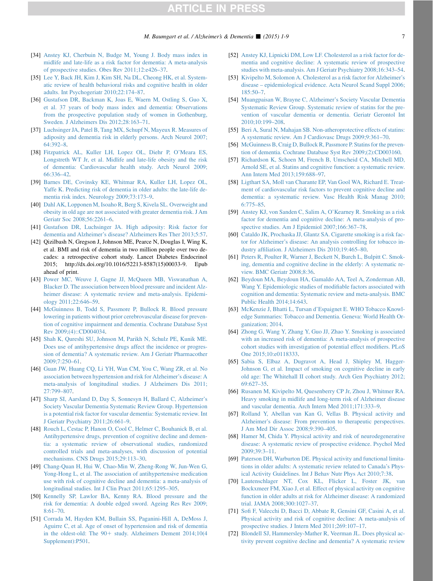- <span id="page-6-0"></span>[34] [Anstey KJ, Cherbuin N, Budge M, Young J. Body mass index in](http://refhub.elsevier.com/S1552-5260(15)00197-1/sref33) [midlife and late-life as a risk factor for dementia: A meta-analysis](http://refhub.elsevier.com/S1552-5260(15)00197-1/sref33) [of prospective studies. Obes Rev 2011;12:e426–37](http://refhub.elsevier.com/S1552-5260(15)00197-1/sref33).
- [35] [Lee Y, Back JH, Kim J, Kim SH, Na DL, Cheong HK, et al. System](http://refhub.elsevier.com/S1552-5260(15)00197-1/sref34)[atic review of health behavioral risks and cognitive health in older](http://refhub.elsevier.com/S1552-5260(15)00197-1/sref34) [adults. Int Psychogeriatr 2010;22:174–87.](http://refhub.elsevier.com/S1552-5260(15)00197-1/sref34)
- [36] [Gustafson DR, Backman K, Joas E, Waern M, Ostling S, Guo X,](http://refhub.elsevier.com/S1552-5260(15)00197-1/sref35) [et al. 37 years of body mass index and dementia: Observations](http://refhub.elsevier.com/S1552-5260(15)00197-1/sref35) [from the prospective population study of women in Gothenburg,](http://refhub.elsevier.com/S1552-5260(15)00197-1/sref35) [Sweden. J Alzheimers Dis 2012;28:163–71](http://refhub.elsevier.com/S1552-5260(15)00197-1/sref35).
- [37] [Luchsinger JA, Patel B, Tang MX, Schupf N, Mayeux R. Measures of](http://refhub.elsevier.com/S1552-5260(15)00197-1/sref36) [adiposity and dementia risk in elderly persons. Arch Neurol 2007;](http://refhub.elsevier.com/S1552-5260(15)00197-1/sref36) [64:392–8](http://refhub.elsevier.com/S1552-5260(15)00197-1/sref36).
- [38] [Fitzpatrick AL, Kuller LH, Lopez OL, Diehr P, O'Meara ES,](http://refhub.elsevier.com/S1552-5260(15)00197-1/sref37) [Longstreth WT Jr, et al. Midlife and late-life obesity and the risk](http://refhub.elsevier.com/S1552-5260(15)00197-1/sref37) [of dementia: Cardiovascular health study. Arch Neurol 2009;](http://refhub.elsevier.com/S1552-5260(15)00197-1/sref37) [66:336–42](http://refhub.elsevier.com/S1552-5260(15)00197-1/sref37).
- [39] [Barnes DE, Covinsky KE, Whitmar RA, Kuller LH, Lopez OL,](http://refhub.elsevier.com/S1552-5260(15)00197-1/sref38) [Yaffe K. Predicting risk of dementia in older adults: the late-life de](http://refhub.elsevier.com/S1552-5260(15)00197-1/sref38)[mentia risk index. Neurology 2009;73:173–9.](http://refhub.elsevier.com/S1552-5260(15)00197-1/sref38)
- [40] [Dahl AK, Lopponen M, Isoaho R, Berg S, Kivela SL. Overweight and](http://refhub.elsevier.com/S1552-5260(15)00197-1/sref39) [obesity in old age are not associated with greater dementia risk. J Am](http://refhub.elsevier.com/S1552-5260(15)00197-1/sref39) [Geriatr Soc 2008;56:2261–6](http://refhub.elsevier.com/S1552-5260(15)00197-1/sref39).
- [41] [Gustafson DR, Luchsinger JA. High adiposity: Risk factor for](http://refhub.elsevier.com/S1552-5260(15)00197-1/sref40) [dementia and Alzheimer's disease? Alzheimers Res Ther 2013;5:57](http://refhub.elsevier.com/S1552-5260(15)00197-1/sref40).
- [42] Qizilbash N, Gregson J, Johnson ME, Pearce N, Douglas I, Wing K, et al. BMI and risk of dementia in two million people over two decades: a retrospective cohort study. Lancet Diabetes Endocrinol 2015; http://dx.doi.org/10.1016/52213-8587(15)00033-9. Epub ahead of print.
- [43] [Power MC, Weuve J, Gagne JJ, McQueen MB, Viswanathan A,](http://refhub.elsevier.com/S1552-5260(15)00197-1/sref42) [Blacker D. The association between blood pressure and incident Alz](http://refhub.elsevier.com/S1552-5260(15)00197-1/sref42)[heimer disease: A systematic review and meta-analysis. Epidemi](http://refhub.elsevier.com/S1552-5260(15)00197-1/sref42)[ology 2011;22:646–59.](http://refhub.elsevier.com/S1552-5260(15)00197-1/sref42)
- [44] [McGuinness B, Todd S, Passmore P, Bullock R. Blood pressure](http://refhub.elsevier.com/S1552-5260(15)00197-1/sref43) [lowering in patients without prior cerebrovascular disease for preven](http://refhub.elsevier.com/S1552-5260(15)00197-1/sref43)[tion of cognitive impairment and dementia. Cochrane Database Syst](http://refhub.elsevier.com/S1552-5260(15)00197-1/sref43) [Rev 2009;\(4\)::CD004034.](http://refhub.elsevier.com/S1552-5260(15)00197-1/sref43)
- [45] [Shah K, Qureshi SU, Johnson M, Parikh N, Schulz PE, Kunik ME.](http://refhub.elsevier.com/S1552-5260(15)00197-1/sref44) [Does use of antihypertensive drugs affect the incidence or progres](http://refhub.elsevier.com/S1552-5260(15)00197-1/sref44)[sion of dementia? A systematic review. Am J Geriatr Pharmacother](http://refhub.elsevier.com/S1552-5260(15)00197-1/sref44) [2009;7:250–61](http://refhub.elsevier.com/S1552-5260(15)00197-1/sref44).
- [46] [Guan JW, Huang CQ, Li YH, Wan CM, You C, Wang ZR, et al. No](http://refhub.elsevier.com/S1552-5260(15)00197-1/sref45) [association between hypertension and risk for Alzheimer's disease: A](http://refhub.elsevier.com/S1552-5260(15)00197-1/sref45) [meta-analysis of longitudinal studies. J Alzheimers Dis 2011;](http://refhub.elsevier.com/S1552-5260(15)00197-1/sref45) [27:799–807](http://refhub.elsevier.com/S1552-5260(15)00197-1/sref45).
- [47] [Sharp SI, Aarsland D, Day S, Sonnesyn H, Ballard C, Alzheimer's](http://refhub.elsevier.com/S1552-5260(15)00197-1/sref46) [Society Vascular Dementia Systematic Review Group. Hypertension](http://refhub.elsevier.com/S1552-5260(15)00197-1/sref46) [is a potential risk factor for vascular dementia: Systematic review. Int](http://refhub.elsevier.com/S1552-5260(15)00197-1/sref46) [J Geriatr Psychiatry 2011;26:661–9](http://refhub.elsevier.com/S1552-5260(15)00197-1/sref46).
- [48] [Rouch L, Cestac P, Hanon O, Cool C, Helmer C, Bouhanick B, et al.](http://refhub.elsevier.com/S1552-5260(15)00197-1/sref47) [Antihypertensive drugs, prevention of cognitive decline and demen](http://refhub.elsevier.com/S1552-5260(15)00197-1/sref47)[tia: a systematic review of observational studies, randomized](http://refhub.elsevier.com/S1552-5260(15)00197-1/sref47) [controlled trials and meta-analyses, with discussion of potential](http://refhub.elsevier.com/S1552-5260(15)00197-1/sref47) [mechanisms. CNS Drugs 2015;29:113–30](http://refhub.elsevier.com/S1552-5260(15)00197-1/sref47).
- [49] [Chang-Quan H, Hui W, Chao-Min W, Zheng-Rong W, Jun-Wen G,](http://refhub.elsevier.com/S1552-5260(15)00197-1/sref48) [Yong-Hong L, et al. The association of antihypertensive medication](http://refhub.elsevier.com/S1552-5260(15)00197-1/sref48) [use with risk of cognitive decline and dementia: a meta-analysis of](http://refhub.elsevier.com/S1552-5260(15)00197-1/sref48) [longitudinal studies. Int J Clin Pract 2011;65:1295–305](http://refhub.elsevier.com/S1552-5260(15)00197-1/sref48).
- [50] [Kennelly SP, Lawlor BA, Kenny RA. Blood pressure and the](http://refhub.elsevier.com/S1552-5260(15)00197-1/sref49) [risk for dementia: A double edged sword. Ageing Res Rev 2009;](http://refhub.elsevier.com/S1552-5260(15)00197-1/sref49) [8:61–70](http://refhub.elsevier.com/S1552-5260(15)00197-1/sref49).
- [51] [Corrada M, Hayden KM, Bullain SS, Paganini-Hill A, DeMoss J,](http://refhub.elsevier.com/S1552-5260(15)00197-1/sref50) [Aguirre C, et al. Age of onset of hypertension and risk of dementia](http://refhub.elsevier.com/S1552-5260(15)00197-1/sref50) in the oldest-old: The  $90+$  [study. Alzheimers Dement 2014;10\(4](http://refhub.elsevier.com/S1552-5260(15)00197-1/sref50)) [Supplement\):P501](http://refhub.elsevier.com/S1552-5260(15)00197-1/sref50).
- [52] [Anstey KJ, Lipnicki DM, Low LF. Cholesterol as a risk factor for de](http://refhub.elsevier.com/S1552-5260(15)00197-1/sref51)[mentia and cognitive decline: A systematic review of prospective](http://refhub.elsevier.com/S1552-5260(15)00197-1/sref51) [studies with meta-analysis. Am J Geriatr Psychiatry 2008;16:343–54](http://refhub.elsevier.com/S1552-5260(15)00197-1/sref51).
- [53] [Kivipelto M, Solomon A. Cholesterol as a risk factor for Alzheimer's](http://refhub.elsevier.com/S1552-5260(15)00197-1/sref52) [disease – epidemiological evidence. Acta Neurol Scand Suppl 2006;](http://refhub.elsevier.com/S1552-5260(15)00197-1/sref52) [185:50–7](http://refhub.elsevier.com/S1552-5260(15)00197-1/sref52).
- [54] [Muangpaisan W, Brayne C, Alzheimer's Society Vascular Dementia](http://refhub.elsevier.com/S1552-5260(15)00197-1/sref53) [Systematic Review Group. Systematic review of statins for the pre](http://refhub.elsevier.com/S1552-5260(15)00197-1/sref53)[vention of vascular dementia or dementia. Geriatr Gerontol Int](http://refhub.elsevier.com/S1552-5260(15)00197-1/sref53) [2010;10:199–208](http://refhub.elsevier.com/S1552-5260(15)00197-1/sref53).
- [55] [Beri A, Sural N, Mahajan SB. Non-atheroprotective effects of statins:](http://refhub.elsevier.com/S1552-5260(15)00197-1/sref54) [A systematic review. Am J Cardiovasc Drugs 2009;9:361–70](http://refhub.elsevier.com/S1552-5260(15)00197-1/sref54).
- [56] [McGuinness B, Craig D, Bullock R, Passmore P. Statins for the preven](http://refhub.elsevier.com/S1552-5260(15)00197-1/sref55)[tion of dementia. Cochrane Database Syst Rev 2009;\(2\):CD003160.](http://refhub.elsevier.com/S1552-5260(15)00197-1/sref55)
- [57] [Richardson K, Schoen M, French B, Umscheid CA, Mitchell MD,](http://refhub.elsevier.com/S1552-5260(15)00197-1/sref56) [Arnold SE, et al. Statins and cognitive function: a systematic review.](http://refhub.elsevier.com/S1552-5260(15)00197-1/sref56) [Ann Intern Med 2013;159:688–97](http://refhub.elsevier.com/S1552-5260(15)00197-1/sref56).
- [58] [Ligthart SA, Moll van Charante EP, Van Gool WA, Richard E. Treat](http://refhub.elsevier.com/S1552-5260(15)00197-1/sref57)[ment of cardiovascular risk factors to prevent cognitive decline and](http://refhub.elsevier.com/S1552-5260(15)00197-1/sref57) [dementia: a systematic review. Vasc Health Risk Manag 2010;](http://refhub.elsevier.com/S1552-5260(15)00197-1/sref57) [6:775–85](http://refhub.elsevier.com/S1552-5260(15)00197-1/sref57).
- [59] [Anstey KJ, von Sanden C, Salim A, O'Kearney R. Smoking as a risk](http://refhub.elsevier.com/S1552-5260(15)00197-1/sref58) [factor for dementia and cognitive decline: A meta-analysis of pro](http://refhub.elsevier.com/S1552-5260(15)00197-1/sref58)[spective studies. Am J Epidemiol 2007;166:367–78.](http://refhub.elsevier.com/S1552-5260(15)00197-1/sref58)
- [60] [Cataldo JK, Prochaska JJ, Glantz SA. Cigarette smoking is a risk fac](http://refhub.elsevier.com/S1552-5260(15)00197-1/sref59)[tor for Alzheimer's disease: An analysis controlling for tobacco in](http://refhub.elsevier.com/S1552-5260(15)00197-1/sref59)[dustry affiliation. J Alzheimers Dis 2010;19:465–80.](http://refhub.elsevier.com/S1552-5260(15)00197-1/sref59)
- [61] [Peters R, Poulter R, Warner J, Beckett N, Burch L, Bulpitt C. Smok](http://refhub.elsevier.com/S1552-5260(15)00197-1/sref60)[ing, dementia and cognitive decline in the elderly: A systematic re](http://refhub.elsevier.com/S1552-5260(15)00197-1/sref60)[view. BMC Geriatr 2008;8:36](http://refhub.elsevier.com/S1552-5260(15)00197-1/sref60).
- [62] [Beydoun MA, Beydoun HA, Gamaldo AA, Teel A, Zonderman AB,](http://refhub.elsevier.com/S1552-5260(15)00197-1/sref61) [Wang Y. Epidemiologic studies of modifiable factors associated with](http://refhub.elsevier.com/S1552-5260(15)00197-1/sref61) [cognition and dementia: Systematic review and meta-analysis. BMC](http://refhub.elsevier.com/S1552-5260(15)00197-1/sref61) [Public Health 2014;14:643](http://refhub.elsevier.com/S1552-5260(15)00197-1/sref61).
- [63] [McKenzie J, Bhatti L, Tursan d'Espaignet E. WHO Tobacco Knowl](http://refhub.elsevier.com/S1552-5260(15)00197-1/sref62)[edge Summaries: Tobacco and Dementia. Geneva: World Health Or](http://refhub.elsevier.com/S1552-5260(15)00197-1/sref62)[ganization; 2014.](http://refhub.elsevier.com/S1552-5260(15)00197-1/sref62)
- [64] [Zhong G, Wang Y, Zhang Y, Guo JJ, Zhao Y. Smoking is associated](http://refhub.elsevier.com/S1552-5260(15)00197-1/sref63) [with an increased risk of dementia: A meta-analysis of prospective](http://refhub.elsevier.com/S1552-5260(15)00197-1/sref63) [cohort studies with investigation of potential effect modifiers. PLoS](http://refhub.elsevier.com/S1552-5260(15)00197-1/sref63) [One 2015;10:e0118333](http://refhub.elsevier.com/S1552-5260(15)00197-1/sref63).
- [65] [Sabia S, Elbaz A, Dugravot A, Head J, Shipley M, Hagger-](http://refhub.elsevier.com/S1552-5260(15)00197-1/sref64)[Johnson G, et al. Impact of smoking on cognitive decline in early](http://refhub.elsevier.com/S1552-5260(15)00197-1/sref64) [old age: The Whitehall II cohort study. Arch Gen Psychiatry 2012;](http://refhub.elsevier.com/S1552-5260(15)00197-1/sref64) [69:627–35](http://refhub.elsevier.com/S1552-5260(15)00197-1/sref64).
- [66] [Rusanen M, Kivipelto M, Quesenberry CP Jr, Zhou J, Whitmer RA.](http://refhub.elsevier.com/S1552-5260(15)00197-1/sref65) [Heavy smoking in midlife and long-term risk of Alzheimer disease](http://refhub.elsevier.com/S1552-5260(15)00197-1/sref65) [and vascular dementia. Arch Intern Med 2011;171:333–9](http://refhub.elsevier.com/S1552-5260(15)00197-1/sref65).
- [67] [Rolland Y, Abellan van Kan G, Vellas B. Physical activity and](http://refhub.elsevier.com/S1552-5260(15)00197-1/sref66) [Alzheimer's disease: From prevention to therapeutic perspectives.](http://refhub.elsevier.com/S1552-5260(15)00197-1/sref66) [J Am Med Dir Assoc 2008;9:390–405](http://refhub.elsevier.com/S1552-5260(15)00197-1/sref66).
- [68] [Hamer M, Chida Y. Physical activity and risk of neurodegenerative](http://refhub.elsevier.com/S1552-5260(15)00197-1/sref67) [disease: A systematic review of prospective evidence. Psychol Med](http://refhub.elsevier.com/S1552-5260(15)00197-1/sref67) [2009;39:3–11](http://refhub.elsevier.com/S1552-5260(15)00197-1/sref67).
- [69] [Paterson DH, Warburton DE. Physical activity and functional limita](http://refhub.elsevier.com/S1552-5260(15)00197-1/sref68)[tions in older adults: A systematic review related to Canada's Phys](http://refhub.elsevier.com/S1552-5260(15)00197-1/sref68)[ical Activity Guidelines. Int J Behav Nutr Phys Act 2010;7:38](http://refhub.elsevier.com/S1552-5260(15)00197-1/sref68).
- [70] [Lautenschlager NT, Cox KL, Flicker L, Foster JK, van](http://refhub.elsevier.com/S1552-5260(15)00197-1/sref69) [Bockxmeer FM, Xiao J, et al. Effect of physical activity on cognitive](http://refhub.elsevier.com/S1552-5260(15)00197-1/sref69) [function in older adults at risk for Alzheimer disease: A randomized](http://refhub.elsevier.com/S1552-5260(15)00197-1/sref69) [trial. JAMA 2008;300:1027–37.](http://refhub.elsevier.com/S1552-5260(15)00197-1/sref69)
- [71] [Sofi F, Valecchi D, Bacci D, Abbate R, Gensini GF, Casini A, et al.](http://refhub.elsevier.com/S1552-5260(15)00197-1/sref70) [Physical activity and risk of cognitive decline: A meta-analysis of](http://refhub.elsevier.com/S1552-5260(15)00197-1/sref70) [prospective studies. J Intern Med 2011;269:107–17.](http://refhub.elsevier.com/S1552-5260(15)00197-1/sref70)
- [72] [Blondell SJ, Hammersley-Mather R, Veerman JL. Does physical ac](http://refhub.elsevier.com/S1552-5260(15)00197-1/sref71)[tivity prevent cognitive decline and dementia? A systematic review](http://refhub.elsevier.com/S1552-5260(15)00197-1/sref71)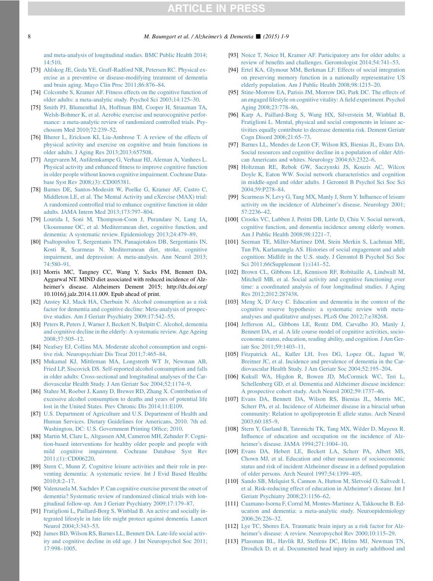[and meta-analysis of longitudinal studies. BMC Public Health 2014;](http://refhub.elsevier.com/S1552-5260(15)00197-1/sref71) [14:510](http://refhub.elsevier.com/S1552-5260(15)00197-1/sref71).

- [73] [Ahlskog JE, Geda YE, Graff-Radford NR, Petersen RC. Physical ex](http://refhub.elsevier.com/S1552-5260(15)00197-1/sref72)[ercise as a preventive or disease-modifying treatment of dementia](http://refhub.elsevier.com/S1552-5260(15)00197-1/sref72) [and brain aging. Mayo Clin Proc 2011;86:876–84](http://refhub.elsevier.com/S1552-5260(15)00197-1/sref72).
- [74] [Colcombe S, Kramer AF. Fitness effects on the cognitive function of](http://refhub.elsevier.com/S1552-5260(15)00197-1/sref73) [older adults: a meta-analytic study. Psychol Sci 2003;14:125–30.](http://refhub.elsevier.com/S1552-5260(15)00197-1/sref73)
- [75] [Smith PJ, Blumenthal JA, Hoffman BM, Cooper H, Strauman TA,](http://refhub.elsevier.com/S1552-5260(15)00197-1/sref74) [Welsh-Bohmer K, et al. Aerobic exercise and neurocognitive perfor](http://refhub.elsevier.com/S1552-5260(15)00197-1/sref74)[mance: a meta-analytic review of randomized controlled trials. Psy](http://refhub.elsevier.com/S1552-5260(15)00197-1/sref74)[chosom Med 2010;72:239–52](http://refhub.elsevier.com/S1552-5260(15)00197-1/sref74).
- [76] [Bherer L, Erickson KI, Liu-Ambrose T. A review of the effects of](http://refhub.elsevier.com/S1552-5260(15)00197-1/sref75) [physical activity and exercise on cognitive and brain functions in](http://refhub.elsevier.com/S1552-5260(15)00197-1/sref75) [older adults. J Aging Res 2013;2013:657508](http://refhub.elsevier.com/S1552-5260(15)00197-1/sref75).
- [77] [Angevaren M, Aufdemkampe G, Verhaar HJ, Aleman A, Vanhees L.](http://refhub.elsevier.com/S1552-5260(15)00197-1/sref76) [Physical activity and enhanced fitness to improve cognitive function](http://refhub.elsevier.com/S1552-5260(15)00197-1/sref76) [in older people without known cognitive impairment. Cochrane Data](http://refhub.elsevier.com/S1552-5260(15)00197-1/sref76)[base Syst Rev 2008;\(3\)::CD005381](http://refhub.elsevier.com/S1552-5260(15)00197-1/sref76).
- [78] [Barnes DE, Santos-Modesitt W, Poelke G, Kramer AF, Castro C,](http://refhub.elsevier.com/S1552-5260(15)00197-1/sref77) [Middleton LE, et al. The Mental Activity and eXercise \(MAX\) trial:](http://refhub.elsevier.com/S1552-5260(15)00197-1/sref77) [A randomized controlled trial to enhance cognitive function in older](http://refhub.elsevier.com/S1552-5260(15)00197-1/sref77) [adults. JAMA Intern Med 2013;173:797–804.](http://refhub.elsevier.com/S1552-5260(15)00197-1/sref77)
- [79] [Lourida I, Soni M, Thompson-Coon J, Purandare N, Lang IA,](http://refhub.elsevier.com/S1552-5260(15)00197-1/sref78) [Ukoumunne OC, et al. Mediterranean diet, cognitive function, and](http://refhub.elsevier.com/S1552-5260(15)00197-1/sref78) [dementia: A systematic review. Epidemiology 2013;24:479–89](http://refhub.elsevier.com/S1552-5260(15)00197-1/sref78).
- [80] [Psaltopoulou T, Sergentanis TN, Panaqiotakos DB, Sergentanis IN,](http://refhub.elsevier.com/S1552-5260(15)00197-1/sref79) [Kosti R, Scarmeas N. Mediterranean diet, stroke, cognitive](http://refhub.elsevier.com/S1552-5260(15)00197-1/sref79) [impairment, and depression: A meta-analysis. Ann Neurol 2013;](http://refhub.elsevier.com/S1552-5260(15)00197-1/sref79) [74:580–91](http://refhub.elsevier.com/S1552-5260(15)00197-1/sref79).
- [81] Morris MC, Tangney CC, Wang Y, Sacks FM, Bennett DA, Aggarwal NT. MIND diet associated with reduced incidence of Alzheimer's disease. Alzheimers Dement 2015; http://dx.doi.org/ 10.1016/j.jalz.2014.11.009. Epub ahead of print.
- [82] [Anstey KJ, Mack HA, Cherbuin N. Alcohol consumption as a risk](http://refhub.elsevier.com/S1552-5260(15)00197-1/sref81) [factor for dementia and cognitive decline: Meta-analysis of prospec](http://refhub.elsevier.com/S1552-5260(15)00197-1/sref81)[tive studies. Am J Geriatr Psychiatry 2009;17:542–55.](http://refhub.elsevier.com/S1552-5260(15)00197-1/sref81)
- [83] [Peters R, Peters J, Warner J, Beckett N, Bulpitt C. Alcohol, dementia](http://refhub.elsevier.com/S1552-5260(15)00197-1/sref82) [and cognitive decline in the elderly: A systematic review. Age Ageing](http://refhub.elsevier.com/S1552-5260(15)00197-1/sref82) [2008;37:505–12](http://refhub.elsevier.com/S1552-5260(15)00197-1/sref82).
- [84] [Neafsey EJ, Collins MA. Moderate alcohol consumption and cogni](http://refhub.elsevier.com/S1552-5260(15)00197-1/sref83)[tive risk. Neuropsychiatr Dis Treat 2011;7:465–84.](http://refhub.elsevier.com/S1552-5260(15)00197-1/sref83)
- [85] [Mukamal KJ, Mittleman MA, Longstreth WT Jr, Newman AB,](http://refhub.elsevier.com/S1552-5260(15)00197-1/sref84) [Fried LP, Siscovick DS. Self-reported alcohol consumption and falls](http://refhub.elsevier.com/S1552-5260(15)00197-1/sref84) [in older adults: Cross-sectional and longitudinal analyses of the Car](http://refhub.elsevier.com/S1552-5260(15)00197-1/sref84)[diovascular Health Study. J Am Geriatr Soc 2004;52:1174–9.](http://refhub.elsevier.com/S1552-5260(15)00197-1/sref84)
- [86] [Stahre M, Roeber J, Kanny D, Brewer RD, Zhang X. Contribution of](http://refhub.elsevier.com/S1552-5260(15)00197-1/sref85) [excessive alcohol consumption to deaths and years of potential life](http://refhub.elsevier.com/S1552-5260(15)00197-1/sref85) [lost in the United States. Prev Chronic Dis 2014;11:E109](http://refhub.elsevier.com/S1552-5260(15)00197-1/sref85).
- [87] [U.S. Department of Agriculture and U.S. Department of Health and](http://refhub.elsevier.com/S1552-5260(15)00197-1/sref86) [Human Services. Dietary Guidelines for Americans, 2010. 7th ed.](http://refhub.elsevier.com/S1552-5260(15)00197-1/sref86) [Washington, DC: U.S. Government Printing Office; 2010](http://refhub.elsevier.com/S1552-5260(15)00197-1/sref86).
- [88] [Martin M, Clare L, Altgassen AM, Cameron MH, Zehnder F. Cogni](http://refhub.elsevier.com/S1552-5260(15)00197-1/sref87)[tion-based interventions for healthy older people and people with](http://refhub.elsevier.com/S1552-5260(15)00197-1/sref87) [mild cognitive impairment. Cochrane Database Syst Rev](http://refhub.elsevier.com/S1552-5260(15)00197-1/sref87) [2011;\(1\)::CD006220.](http://refhub.elsevier.com/S1552-5260(15)00197-1/sref87)
- [89] [Stern C, Munn Z. Cognitive leisure activities and their role in pre](http://refhub.elsevier.com/S1552-5260(15)00197-1/sref88)[venting dementia: A systematic review. Int J Evid Based Healthc](http://refhub.elsevier.com/S1552-5260(15)00197-1/sref88) [2010;8:2–17](http://refhub.elsevier.com/S1552-5260(15)00197-1/sref88).
- [90] [Valenzuela M, Sachdev P. Can cognitive exercise prevent the onset of](http://refhub.elsevier.com/S1552-5260(15)00197-1/sref89) [dementia? Systematic review of randomized clinical trials with lon](http://refhub.elsevier.com/S1552-5260(15)00197-1/sref89)[gitudinal follow-up. Am J Geriatr Psychiatry 2009;17:179–87](http://refhub.elsevier.com/S1552-5260(15)00197-1/sref89).
- [91] [Fratiglioni L, Paillard-Borg S, Winblad B. An active and socially in](http://refhub.elsevier.com/S1552-5260(15)00197-1/sref90)[tegrated lifestyle in late life might protect against dementia. Lancet](http://refhub.elsevier.com/S1552-5260(15)00197-1/sref90) [Neurol 2004;3:343–53.](http://refhub.elsevier.com/S1552-5260(15)00197-1/sref90)
- [92] [James BD, Wilson RS, Barnes LL, Bennett DA. Late-life social activ](http://refhub.elsevier.com/S1552-5260(15)00197-1/sref91)[ity and cognitive decline in old age. J Int Neuropsychol Soc 2011;](http://refhub.elsevier.com/S1552-5260(15)00197-1/sref91) [17:998–1005](http://refhub.elsevier.com/S1552-5260(15)00197-1/sref91).
- [93] [Noice T, Noice H, Kramer AF. Participatory arts for older adults: a](http://refhub.elsevier.com/S1552-5260(15)00197-1/sref92) [review of benefits and challenges. Gerontologist 2014;54:741–53](http://refhub.elsevier.com/S1552-5260(15)00197-1/sref92).
- [94] [Ertel KA, Glymour MM, Berkman LF. Effects of social integration](http://refhub.elsevier.com/S1552-5260(15)00197-1/sref93) [on preserving memory function in a nationally representative US](http://refhub.elsevier.com/S1552-5260(15)00197-1/sref93) [elderly population. Am J Public Health 2008;98:1215–20.](http://refhub.elsevier.com/S1552-5260(15)00197-1/sref93)
- [95] [Stine-Morrow EA, Parisis JM, Morrow DG, Park DC. The effects of](http://refhub.elsevier.com/S1552-5260(15)00197-1/sref94) [an engaged lifestyle on cognitive vitality: A field experiment. Psychol](http://refhub.elsevier.com/S1552-5260(15)00197-1/sref94) [Aging 2008;23:778–86](http://refhub.elsevier.com/S1552-5260(15)00197-1/sref94).
- [96] [Karp A, Paillard-Borg S, Wang HX, Silverstein M, Winblad B,](http://refhub.elsevier.com/S1552-5260(15)00197-1/sref95) [Fratiglioni L. Mental, physical and social components in leisure ac](http://refhub.elsevier.com/S1552-5260(15)00197-1/sref95)[tivities equally contribute to decrease dementia risk. Dement Geriatr](http://refhub.elsevier.com/S1552-5260(15)00197-1/sref95) [Cogn Disord 2006;21:65–73.](http://refhub.elsevier.com/S1552-5260(15)00197-1/sref95)
- [97] [Barnes LL, Mendes de Leon CF, Wilson RS, Bienias JL, Evans DA.](http://refhub.elsevier.com/S1552-5260(15)00197-1/sref96) [Social resources and cognitive decline in a population of older Afri](http://refhub.elsevier.com/S1552-5260(15)00197-1/sref96)[can Americans and whites. Neurology 2004;63:2322–6](http://refhub.elsevier.com/S1552-5260(15)00197-1/sref96).
- [98] [Holtzman RE, Rebok GW, Saczynski JS, Kouzis AC, Wilcox](http://refhub.elsevier.com/S1552-5260(15)00197-1/sref97) [Doyle K, Eaton WW. Social network characteristics and cognition](http://refhub.elsevier.com/S1552-5260(15)00197-1/sref97) [in middle-aged and older adults. J Gerontol B Psychol Sci Soc Sci](http://refhub.elsevier.com/S1552-5260(15)00197-1/sref97) [2004;59:P278–84.](http://refhub.elsevier.com/S1552-5260(15)00197-1/sref97)
- [99] [Scarmeas N, Levy G, Tang MX, Manly J, Stern Y. Influence of leisure](http://refhub.elsevier.com/S1552-5260(15)00197-1/sref98) [activity on the incidence of Alzheimer's disease. Neurology 2001;](http://refhub.elsevier.com/S1552-5260(15)00197-1/sref98) [57:2236–42](http://refhub.elsevier.com/S1552-5260(15)00197-1/sref98).
- [100] [Crooks VC, Lubben J, Petitti DB, Little D, Chiu V. Social network,](http://refhub.elsevier.com/S1552-5260(15)00197-1/sref99) [cognitive function, and dementia incidence among elderly women.](http://refhub.elsevier.com/S1552-5260(15)00197-1/sref99) [Am J Public Health 2008;98:1221–7.](http://refhub.elsevier.com/S1552-5260(15)00197-1/sref99)
- [101] [Seeman TE, Miller-Martinez DM, Stein Merkin S, Lachman ME,](http://refhub.elsevier.com/S1552-5260(15)00197-1/sref100) [Tun PA, Karlamangla AS. Histories of social engagement and adult](http://refhub.elsevier.com/S1552-5260(15)00197-1/sref100) [cognition: Midlife in the U.S. study. J Gerontol B Psychol Sci Soc](http://refhub.elsevier.com/S1552-5260(15)00197-1/sref100) [Sci 2011;66\(Supplement 1\):i141–52.](http://refhub.elsevier.com/S1552-5260(15)00197-1/sref100)
- [102] [Brown CL, Gibbons LE, Kennison RF, Robitaille A, Lindwall M,](http://refhub.elsevier.com/S1552-5260(15)00197-1/sref101) [Mitchell MB, et al. Social activity and cognitive functioning over](http://refhub.elsevier.com/S1552-5260(15)00197-1/sref101) [time: a coordinated analysis of four longitudinal studies. J Aging](http://refhub.elsevier.com/S1552-5260(15)00197-1/sref101) [Res 2012;2012:287438](http://refhub.elsevier.com/S1552-5260(15)00197-1/sref101).
- [103] [Meng X, D'Arcy C. Education and dementia in the context of the](http://refhub.elsevier.com/S1552-5260(15)00197-1/sref102) [cognitive reserve hypothesis: a systematic review with meta](http://refhub.elsevier.com/S1552-5260(15)00197-1/sref102)[analyses and qualitative analyses. PLoS One 2012;7:e38268](http://refhub.elsevier.com/S1552-5260(15)00197-1/sref102).
- [104] [Jefferson AL, Gibbons LE, Rentz DM, Carvalho JO, Manly J,](http://refhub.elsevier.com/S1552-5260(15)00197-1/sref103) [Bennett DA, et al. A life course model of cognitive activities, socio](http://refhub.elsevier.com/S1552-5260(15)00197-1/sref103)[economic status, education, reading ability, and cognition. J Am Ger](http://refhub.elsevier.com/S1552-5260(15)00197-1/sref103)[iatr Soc 2011;59:1403–11](http://refhub.elsevier.com/S1552-5260(15)00197-1/sref103).
- [105] [Fitzpatrick AL, Kuller LH, Ives DG, Lopez OL, Jagust W,](http://refhub.elsevier.com/S1552-5260(15)00197-1/sref104) [Breitner JC, et al. Incidence and prevalence of dementia in the Car](http://refhub.elsevier.com/S1552-5260(15)00197-1/sref104)[diovascular Health Study. J Am Geriatr Soc 2004;52:195–204.](http://refhub.elsevier.com/S1552-5260(15)00197-1/sref104)
- [106] [Kukull WA, Higdon R, Bowen JD, McCormick WC, Teri L,](http://refhub.elsevier.com/S1552-5260(15)00197-1/sref105) [Schellenberg GD, et al. Dementia and Alzheimer disease incidence:](http://refhub.elsevier.com/S1552-5260(15)00197-1/sref105) [A prospective cohort study. Arch Neurol 2002;59:1737–46.](http://refhub.elsevier.com/S1552-5260(15)00197-1/sref105)
- [107] [Evans DA, Bennett DA, Wilson RS, Bienias JL, Morris MC,](http://refhub.elsevier.com/S1552-5260(15)00197-1/sref106) [Scherr PA, et al. Incidence of Alzheimer disease in a biracial urban](http://refhub.elsevier.com/S1552-5260(15)00197-1/sref106) [community: Relation to apolipoprotein E allele status. Arch Neurol](http://refhub.elsevier.com/S1552-5260(15)00197-1/sref106) [2003;60:185–9](http://refhub.elsevier.com/S1552-5260(15)00197-1/sref106).
- [108] [Stern Y, Gurland B, Tatemichi TK, Tang MX, Wilder D, Mayeux R.](http://refhub.elsevier.com/S1552-5260(15)00197-1/sref107) [Influence of education and occupation on the incidence of Alz](http://refhub.elsevier.com/S1552-5260(15)00197-1/sref107)[heimer's disease. JAMA 1994;271:1004–10.](http://refhub.elsevier.com/S1552-5260(15)00197-1/sref107)
- [109] [Evans DA, Hebert LE, Beckett LA, Scherr PA, Albert MS,](http://refhub.elsevier.com/S1552-5260(15)00197-1/sref108) [Chown MJ, et al. Education and other measures of socioeconomic](http://refhub.elsevier.com/S1552-5260(15)00197-1/sref108) [status and risk of incident Alzheimer disease in a defined population](http://refhub.elsevier.com/S1552-5260(15)00197-1/sref108) [of older persons. Arch Neurol 1997;54:1399–405.](http://refhub.elsevier.com/S1552-5260(15)00197-1/sref108)
- [110] [Sando SB, Melquist S, Cannon A, Hutton M, Sletvoid O, Saltvedt I,](http://refhub.elsevier.com/S1552-5260(15)00197-1/sref109) [et al. Risk-reducing effect of education in Alzheimer's disease. Int J](http://refhub.elsevier.com/S1552-5260(15)00197-1/sref109) [Geriatr Psychiatry 2008;23:1156–62.](http://refhub.elsevier.com/S1552-5260(15)00197-1/sref109)
- [111] [Caamano-Isorna F, Corral M, Montes-Martinez A, Takkouche B. Ed](http://refhub.elsevier.com/S1552-5260(15)00197-1/sref110)[ucation and dementia: a meta-analytic study. Neuroepidemiology](http://refhub.elsevier.com/S1552-5260(15)00197-1/sref110) [2006;26:226–32](http://refhub.elsevier.com/S1552-5260(15)00197-1/sref110).
- [112] [Lye TC, Shores EA. Traumatic brain injury as a risk factor for Alz](http://refhub.elsevier.com/S1552-5260(15)00197-1/sref111)[heimer's disease: A review. Neuropsychol Rev 2000;10:115–29](http://refhub.elsevier.com/S1552-5260(15)00197-1/sref111).
- [113] [Plassman BL, Havlik RJ, Steffens DC, Helms MJ, Newman TN,](http://refhub.elsevier.com/S1552-5260(15)00197-1/sref112) [Drosdick D, et al. Documented head injury in early adulthood and](http://refhub.elsevier.com/S1552-5260(15)00197-1/sref112)

<span id="page-7-0"></span>